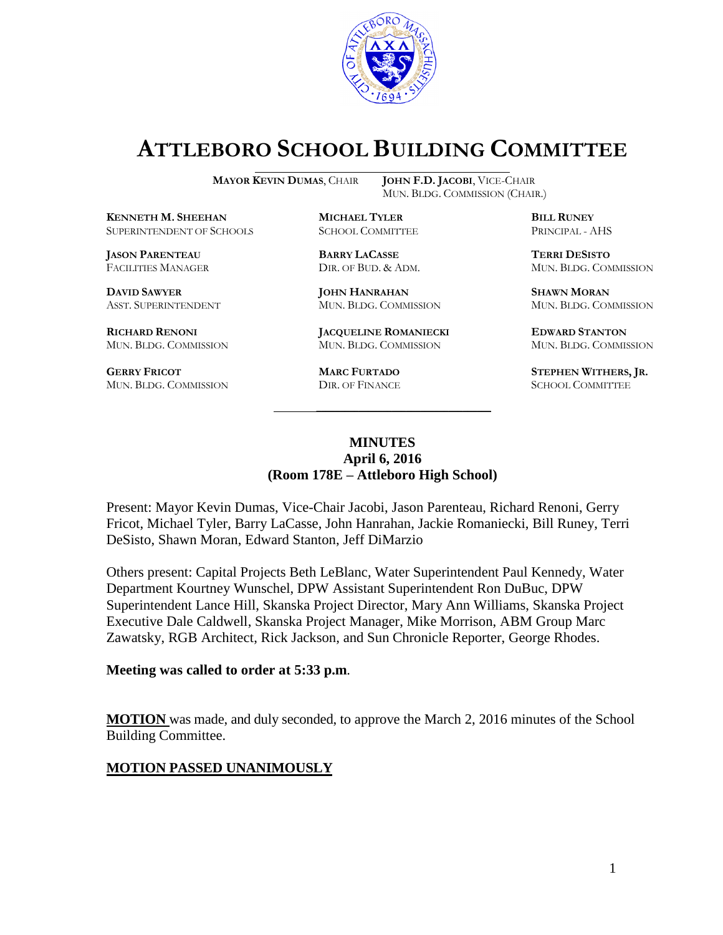

# **ATTLEBORO SCHOOL BUILDING COMMITTEE**

MUN. BLDG. COMMISSION (CHAIR.)

**MAYOR KEVIN DUMAS**, CHAIR **JOHN F.D. JACOBI**, VICE-CHAIR

**KENNETH M. SHEEHAN MICHAEL TYLER BILL RUNEY** SUPERINTENDENT OF SCHOOLS SCHOOL COMMITTEE PRINCIPAL - AHS

**JASON PARENTEAU BARRY LACASSE TERRI DESISTO**

**GERRY FRICOT MARC FURTADO STEPHEN WITHERS, JR.** MUN. BLDG. COMMISSION **DIR.** OF FINANCE **SCHOOL COMMITTEE** MUN. BLDG. COMMISSION DIR. OF FINANCE SCHOOL COMMITTEE

**DAVID SAWYER JOHN HANRAHAN SHAWN MORAN** ASST. SUPERINTENDENT MUN. BLDG. COMMISSION MUN. BLDG. COMMISSION

**RICHARD RENONI JACQUELINE ROMANIECKI EDWARD STANTON** MUN. BLDG. COMMISSION MUN. BLDG. COMMISSION MUN. BLDG. COMMISSION

FACILITIES MANAGER DIR. OF BUD. & ADM. MUN. BLDG. COMMISSION

#### **MINUTES April 6, 2016 (Room 178E – Attleboro High School)**

\_\_\_\_\_\_\_\_\_\_\_\_\_\_\_\_\_\_\_\_\_\_\_\_\_\_\_\_\_\_\_\_\_\_\_\_\_

Present: Mayor Kevin Dumas, Vice-Chair Jacobi, Jason Parenteau, Richard Renoni, Gerry Fricot, Michael Tyler, Barry LaCasse, John Hanrahan, Jackie Romaniecki, Bill Runey, Terri DeSisto, Shawn Moran, Edward Stanton, Jeff DiMarzio

Others present: Capital Projects Beth LeBlanc, Water Superintendent Paul Kennedy, Water Department Kourtney Wunschel, DPW Assistant Superintendent Ron DuBuc, DPW Superintendent Lance Hill, Skanska Project Director, Mary Ann Williams, Skanska Project Executive Dale Caldwell, Skanska Project Manager, Mike Morrison, ABM Group Marc Zawatsky, RGB Architect, Rick Jackson, and Sun Chronicle Reporter, George Rhodes.

#### **Meeting was called to order at 5:33 p.m**.

**MOTION** was made, and duly seconded, to approve the March 2, 2016 minutes of the School Building Committee.

#### **MOTION PASSED UNANIMOUSLY**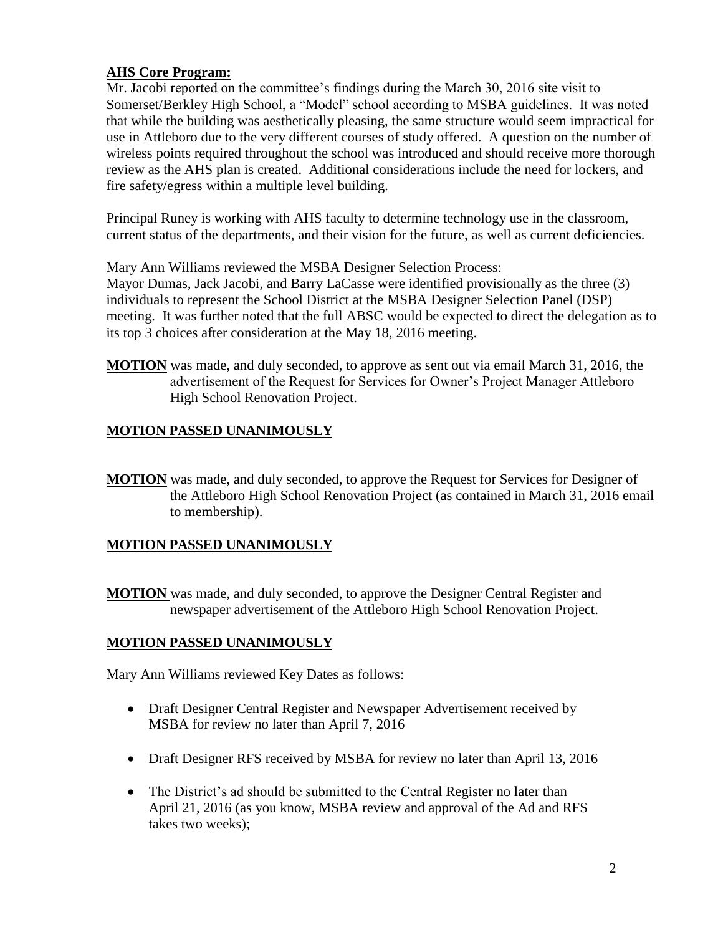# **AHS Core Program:**

Mr. Jacobi reported on the committee's findings during the March 30, 2016 site visit to Somerset/Berkley High School, a "Model" school according to MSBA guidelines. It was noted that while the building was aesthetically pleasing, the same structure would seem impractical for use in Attleboro due to the very different courses of study offered. A question on the number of wireless points required throughout the school was introduced and should receive more thorough review as the AHS plan is created. Additional considerations include the need for lockers, and fire safety/egress within a multiple level building.

Principal Runey is working with AHS faculty to determine technology use in the classroom, current status of the departments, and their vision for the future, as well as current deficiencies.

Mary Ann Williams reviewed the MSBA Designer Selection Process: Mayor Dumas, Jack Jacobi, and Barry LaCasse were identified provisionally as the three (3) individuals to represent the School District at the MSBA Designer Selection Panel (DSP) meeting. It was further noted that the full ABSC would be expected to direct the delegation as to its top 3 choices after consideration at the May 18, 2016 meeting.

**MOTION** was made, and duly seconded, to approve as sent out via email March 31, 2016, the advertisement of the Request for Services for Owner's Project Manager Attleboro High School Renovation Project.

# **MOTION PASSED UNANIMOUSLY**

**MOTION** was made, and duly seconded, to approve the Request for Services for Designer of the Attleboro High School Renovation Project (as contained in March 31, 2016 email to membership).

## **MOTION PASSED UNANIMOUSLY**

**MOTION** was made, and duly seconded, to approve the Designer Central Register and newspaper advertisement of the Attleboro High School Renovation Project.

## **MOTION PASSED UNANIMOUSLY**

Mary Ann Williams reviewed Key Dates as follows:

- Draft Designer Central Register and Newspaper Advertisement received by MSBA for review no later than April 7, 2016
- Draft Designer RFS received by MSBA for review no later than April 13, 2016
- The District's ad should be submitted to the Central Register no later than April 21, 2016 (as you know, MSBA review and approval of the Ad and RFS takes two weeks);